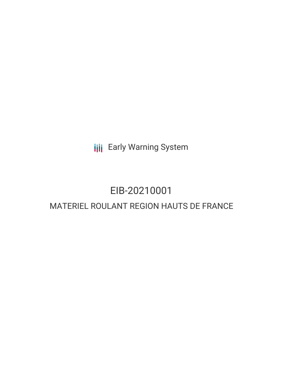**III** Early Warning System

# EIB-20210001 MATERIEL ROULANT REGION HAUTS DE FRANCE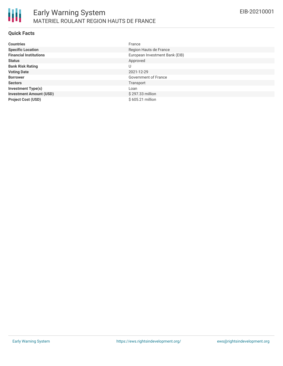

#### **Quick Facts**

| <b>Countries</b>               | France                         |
|--------------------------------|--------------------------------|
| <b>Specific Location</b>       | Region Hauts de France         |
| <b>Financial Institutions</b>  | European Investment Bank (EIB) |
| <b>Status</b>                  | Approved                       |
| <b>Bank Risk Rating</b>        | U                              |
| <b>Voting Date</b>             | 2021-12-29                     |
| <b>Borrower</b>                | Government of France           |
| <b>Sectors</b>                 | Transport                      |
| <b>Investment Type(s)</b>      | Loan                           |
| <b>Investment Amount (USD)</b> | \$297.33 million               |
| <b>Project Cost (USD)</b>      | \$605.21 million               |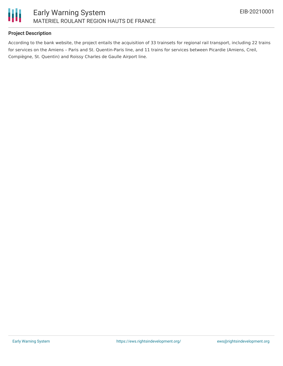

## **Project Description**

According to the bank website, the project entails the acquisition of 33 trainsets for regional rail transport, including 22 trains for services on the Amiens – Paris and St. Quentin-Paris line, and 11 trains for services between Picardie (Amiens, Creil, Compiègne, St. Quentin) and Roissy Charles de Gaulle Airport line.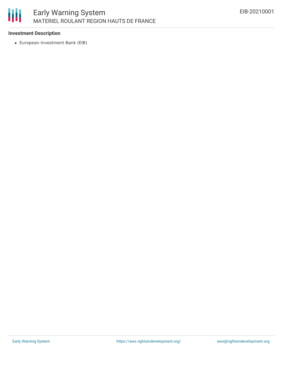

## **Investment Description**

European Investment Bank (EIB)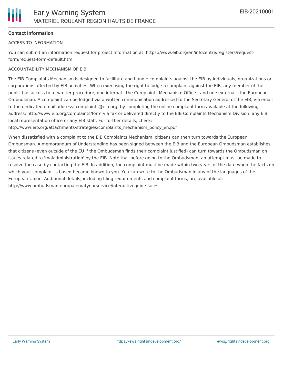#### **Contact Information**

#### ACCESS TO INFORMATION

You can submit an information request for project information at: https://www.eib.org/en/infocentre/registers/requestform/request-form-default.htm

#### ACCOUNTABILITY MECHANISM OF EIB

The EIB Complaints Mechanism is designed to facilitate and handle complaints against the EIB by individuals, organizations or corporations affected by EIB activities. When exercising the right to lodge a complaint against the EIB, any member of the public has access to a two-tier procedure, one internal - the Complaints Mechanism Office - and one external - the European Ombudsman. A complaint can be lodged via a written communication addressed to the Secretary General of the EIB, via email to the dedicated email address: complaints@eib.org, by completing the online complaint form available at the following address: http://www.eib.org/complaints/form via fax or delivered directly to the EIB Complaints Mechanism Division, any EIB local representation office or any EIB staff. For further details, check:

http://www.eib.org/attachments/strategies/complaints\_mechanism\_policy\_en.pdf

When dissatisfied with a complaint to the EIB Complaints Mechanism, citizens can then turn towards the European Ombudsman. A memorandum of Understanding has been signed between the EIB and the European Ombudsman establishes that citizens (even outside of the EU if the Ombudsman finds their complaint justified) can turn towards the Ombudsman on issues related to 'maladministration' by the EIB. Note that before going to the Ombudsman, an attempt must be made to resolve the case by contacting the EIB. In addition, the complaint must be made within two years of the date when the facts on which your complaint is based became known to you. You can write to the Ombudsman in any of the languages of the European Union. Additional details, including filing requirements and complaint forms, are available at: http://www.ombudsman.europa.eu/atyourservice/interactiveguide.faces